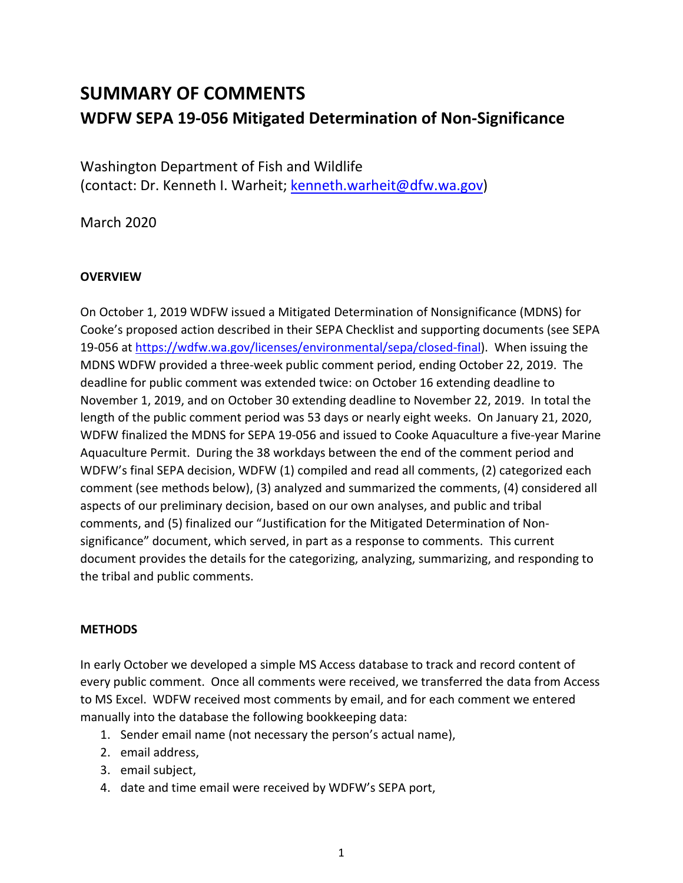# **SUMMARY OF COMMENTS WDFW SEPA 19-056 Mitigated Determination of Non-Significance**

Washington Department of Fish and Wildlife (contact: Dr. Kenneth I. Warheit; [kenneth.warheit@dfw.wa.gov\)](mailto:kenneth.warheit@dfw.wa.gov)

March 2020

## **OVERVIEW**

On October 1, 2019 WDFW issued a Mitigated Determination of Nonsignificance (MDNS) for Cooke's proposed action described in their SEPA Checklist and supporting documents (see SEPA 19-056 at [https://wdfw.wa.gov/licenses/environmental/sepa/closed-final\)](https://wdfw.wa.gov/licenses/environmental/sepa/closed-final). When issuing the MDNS WDFW provided a three-week public comment period, ending October 22, 2019. The deadline for public comment was extended twice: on October 16 extending deadline to November 1, 2019, and on October 30 extending deadline to November 22, 2019. In total the length of the public comment period was 53 days or nearly eight weeks. On January 21, 2020, WDFW finalized the MDNS for SEPA 19-056 and issued to Cooke Aquaculture a five-year Marine Aquaculture Permit. During the 38 workdays between the end of the comment period and WDFW's final SEPA decision, WDFW (1) compiled and read all comments, (2) categorized each comment (see methods below), (3) analyzed and summarized the comments, (4) considered all aspects of our preliminary decision, based on our own analyses, and public and tribal comments, and (5) finalized our "Justification for the Mitigated Determination of Nonsignificance" document, which served, in part as a response to comments. This current document provides the details for the categorizing, analyzing, summarizing, and responding to the tribal and public comments.

#### **METHODS**

In early October we developed a simple MS Access database to track and record content of every public comment. Once all comments were received, we transferred the data from Access to MS Excel. WDFW received most comments by email, and for each comment we entered manually into the database the following bookkeeping data:

- 1. Sender email name (not necessary the person's actual name),
- 2. email address,
- 3. email subject,
- 4. date and time email were received by WDFW's SEPA port,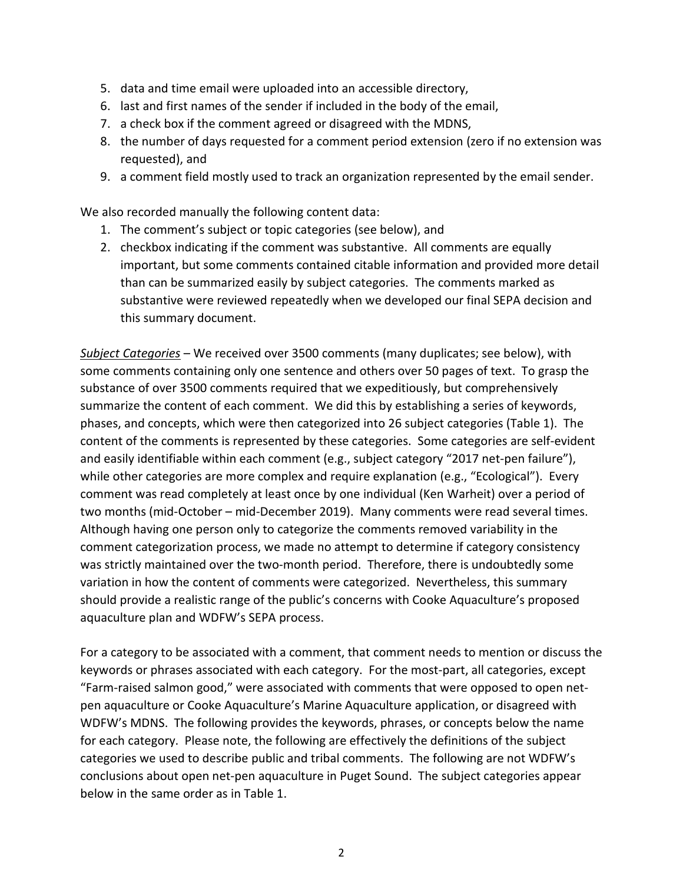- 5. data and time email were uploaded into an accessible directory,
- 6. last and first names of the sender if included in the body of the email,
- 7. a check box if the comment agreed or disagreed with the MDNS,
- 8. the number of days requested for a comment period extension (zero if no extension was requested), and
- 9. a comment field mostly used to track an organization represented by the email sender.

We also recorded manually the following content data:

- 1. The comment's subject or topic categories (see below), and
- 2. checkbox indicating if the comment was substantive. All comments are equally important, but some comments contained citable information and provided more detail than can be summarized easily by subject categories. The comments marked as substantive were reviewed repeatedly when we developed our final SEPA decision and this summary document.

*Subject Categories* – We received over 3500 comments (many duplicates; see below), with some comments containing only one sentence and others over 50 pages of text. To grasp the substance of over 3500 comments required that we expeditiously, but comprehensively summarize the content of each comment. We did this by establishing a series of keywords, phases, and concepts, which were then categorized into 26 subject categories (Table 1). The content of the comments is represented by these categories. Some categories are self-evident and easily identifiable within each comment (e.g., subject category "2017 net-pen failure"), while other categories are more complex and require explanation (e.g., "Ecological"). Every comment was read completely at least once by one individual (Ken Warheit) over a period of two months (mid-October – mid-December 2019). Many comments were read several times. Although having one person only to categorize the comments removed variability in the comment categorization process, we made no attempt to determine if category consistency was strictly maintained over the two-month period. Therefore, there is undoubtedly some variation in how the content of comments were categorized. Nevertheless, this summary should provide a realistic range of the public's concerns with Cooke Aquaculture's proposed aquaculture plan and WDFW's SEPA process.

For a category to be associated with a comment, that comment needs to mention or discuss the keywords or phrases associated with each category. For the most-part, all categories, except "Farm-raised salmon good," were associated with comments that were opposed to open netpen aquaculture or Cooke Aquaculture's Marine Aquaculture application, or disagreed with WDFW's MDNS. The following provides the keywords, phrases, or concepts below the name for each category. Please note, the following are effectively the definitions of the subject categories we used to describe public and tribal comments. The following are not WDFW's conclusions about open net-pen aquaculture in Puget Sound. The subject categories appear below in the same order as in Table 1.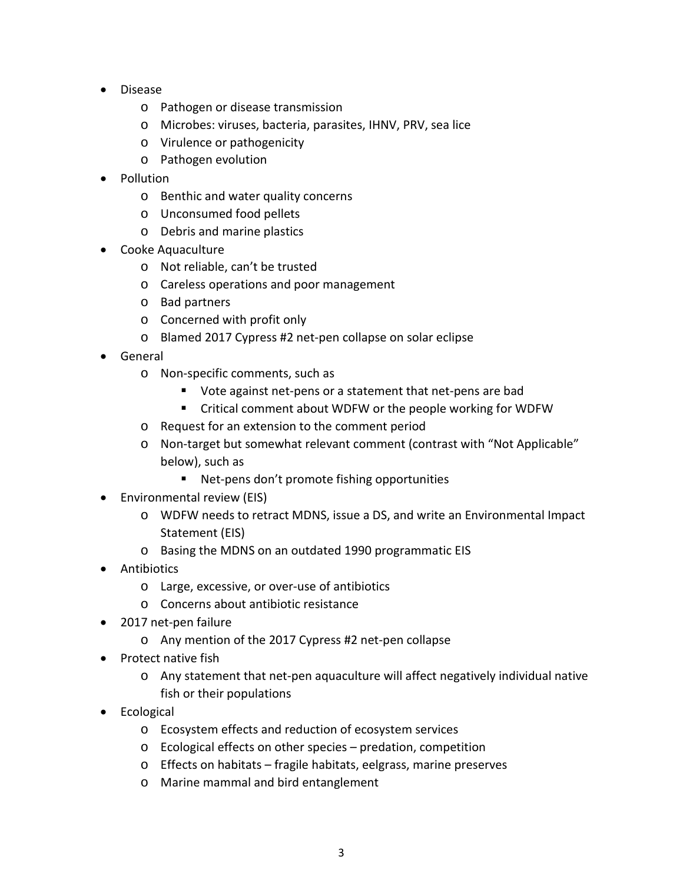- Disease
	- o Pathogen or disease transmission
	- o Microbes: viruses, bacteria, parasites, IHNV, PRV, sea lice
	- o Virulence or pathogenicity
	- o Pathogen evolution
- Pollution
	- o Benthic and water quality concerns
	- o Unconsumed food pellets
	- o Debris and marine plastics
- Cooke Aquaculture
	- o Not reliable, can't be trusted
	- o Careless operations and poor management
	- o Bad partners
	- o Concerned with profit only
	- o Blamed 2017 Cypress #2 net-pen collapse on solar eclipse
- General
	- o Non-specific comments, such as
		- Vote against net-pens or a statement that net-pens are bad
		- Critical comment about WDFW or the people working for WDFW
	- o Request for an extension to the comment period
	- o Non-target but somewhat relevant comment (contrast with "Not Applicable" below), such as
		- Net-pens don't promote fishing opportunities
- Environmental review (EIS)
	- o WDFW needs to retract MDNS, issue a DS, and write an Environmental Impact Statement (EIS)
	- o Basing the MDNS on an outdated 1990 programmatic EIS
- Antibiotics
	- o Large, excessive, or over-use of antibiotics
	- o Concerns about antibiotic resistance
- 2017 net-pen failure
	- o Any mention of the 2017 Cypress #2 net-pen collapse
- Protect native fish
	- o Any statement that net-pen aquaculture will affect negatively individual native fish or their populations
- Ecological
	- o Ecosystem effects and reduction of ecosystem services
	- o Ecological effects on other species predation, competition
	- o Effects on habitats fragile habitats, eelgrass, marine preserves
	- o Marine mammal and bird entanglement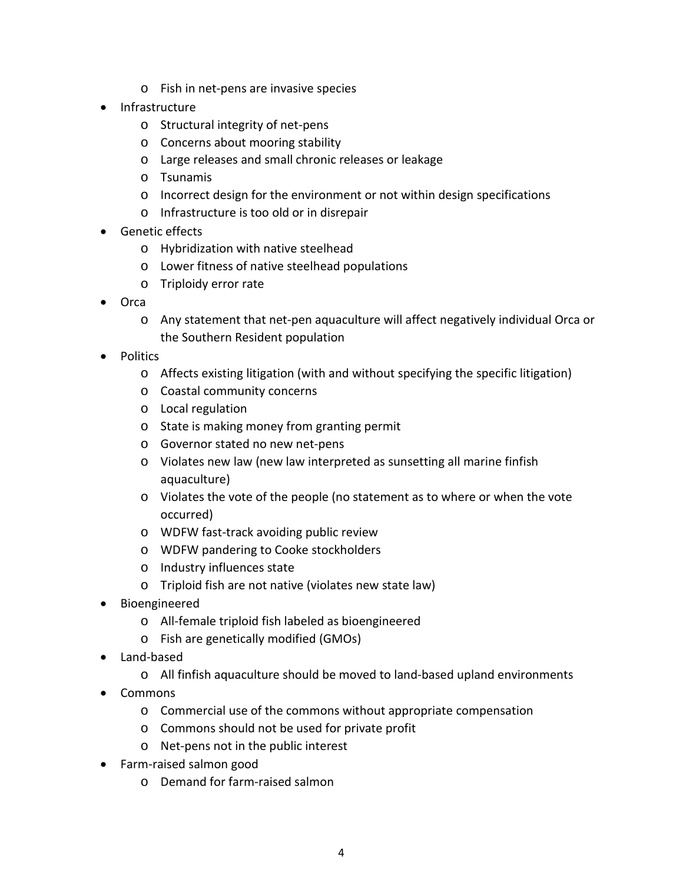- o Fish in net-pens are invasive species
- Infrastructure
	- o Structural integrity of net-pens
	- o Concerns about mooring stability
	- o Large releases and small chronic releases or leakage
	- o Tsunamis
	- o Incorrect design for the environment or not within design specifications
	- o Infrastructure is too old or in disrepair
- Genetic effects
	- o Hybridization with native steelhead
	- o Lower fitness of native steelhead populations
	- o Triploidy error rate
- Orca
	- o Any statement that net-pen aquaculture will affect negatively individual Orca or the Southern Resident population
- Politics
	- o Affects existing litigation (with and without specifying the specific litigation)
	- o Coastal community concerns
	- o Local regulation
	- o State is making money from granting permit
	- o Governor stated no new net-pens
	- o Violates new law (new law interpreted as sunsetting all marine finfish aquaculture)
	- o Violates the vote of the people (no statement as to where or when the vote occurred)
	- o WDFW fast-track avoiding public review
	- o WDFW pandering to Cooke stockholders
	- o Industry influences state
	- o Triploid fish are not native (violates new state law)
- Bioengineered
	- o All-female triploid fish labeled as bioengineered
	- o Fish are genetically modified (GMOs)
- Land-based
	- o All finfish aquaculture should be moved to land-based upland environments
- Commons
	- o Commercial use of the commons without appropriate compensation
	- o Commons should not be used for private profit
	- o Net-pens not in the public interest
- Farm-raised salmon good
	- o Demand for farm-raised salmon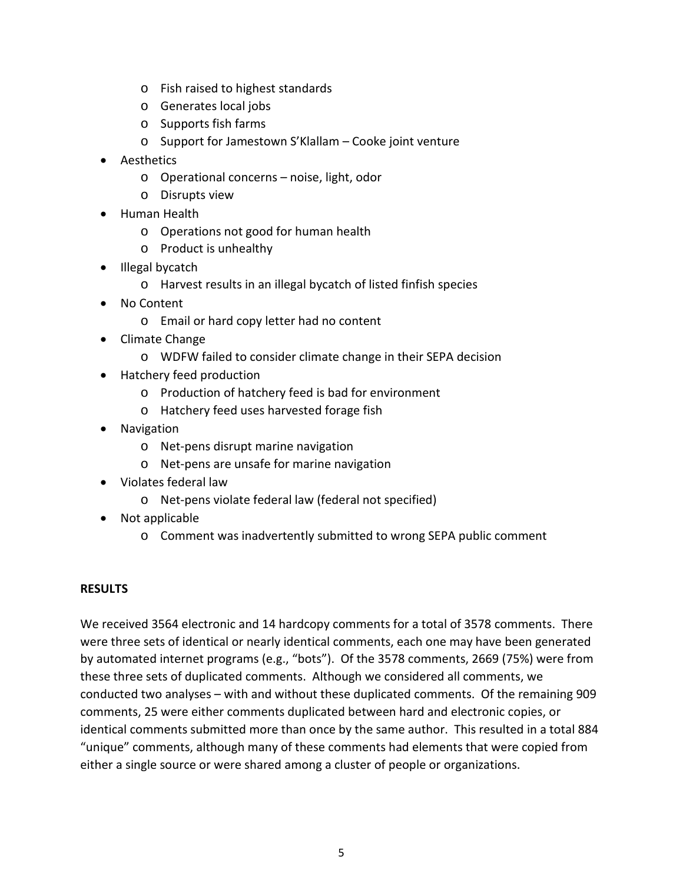- o Fish raised to highest standards
- o Generates local jobs
- o Supports fish farms
- o Support for Jamestown S'Klallam Cooke joint venture
- Aesthetics
	- o Operational concerns noise, light, odor
	- o Disrupts view
- Human Health
	- o Operations not good for human health
	- o Product is unhealthy
- Illegal bycatch
	- o Harvest results in an illegal bycatch of listed finfish species
- No Content
	- o Email or hard copy letter had no content
- Climate Change
	- o WDFW failed to consider climate change in their SEPA decision
- Hatchery feed production
	- o Production of hatchery feed is bad for environment
	- o Hatchery feed uses harvested forage fish
- Navigation
	- o Net-pens disrupt marine navigation
	- o Net-pens are unsafe for marine navigation
- Violates federal law
	- o Net-pens violate federal law (federal not specified)
- Not applicable
	- o Comment was inadvertently submitted to wrong SEPA public comment

## **RESULTS**

We received 3564 electronic and 14 hardcopy comments for a total of 3578 comments. There were three sets of identical or nearly identical comments, each one may have been generated by automated internet programs (e.g., "bots"). Of the 3578 comments, 2669 (75%) were from these three sets of duplicated comments. Although we considered all comments, we conducted two analyses – with and without these duplicated comments. Of the remaining 909 comments, 25 were either comments duplicated between hard and electronic copies, or identical comments submitted more than once by the same author. This resulted in a total 884 "unique" comments, although many of these comments had elements that were copied from either a single source or were shared among a cluster of people or organizations.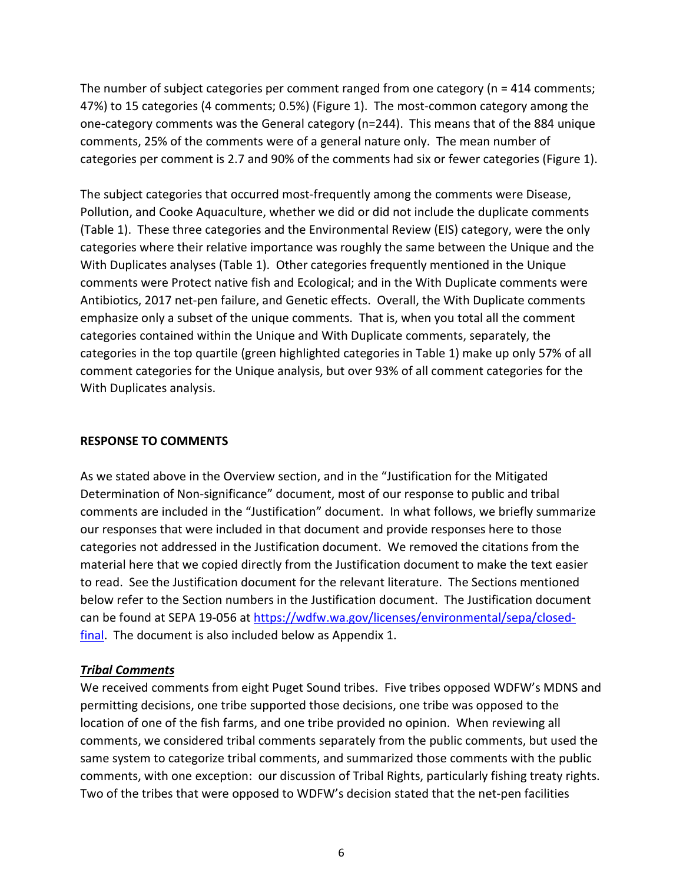The number of subject categories per comment ranged from one category (n = 414 comments; 47%) to 15 categories (4 comments; 0.5%) (Figure 1). The most-common category among the one-category comments was the General category (n=244). This means that of the 884 unique comments, 25% of the comments were of a general nature only. The mean number of categories per comment is 2.7 and 90% of the comments had six or fewer categories (Figure 1).

The subject categories that occurred most-frequently among the comments were Disease, Pollution, and Cooke Aquaculture, whether we did or did not include the duplicate comments (Table 1). These three categories and the Environmental Review (EIS) category, were the only categories where their relative importance was roughly the same between the Unique and the With Duplicates analyses (Table 1). Other categories frequently mentioned in the Unique comments were Protect native fish and Ecological; and in the With Duplicate comments were Antibiotics, 2017 net-pen failure, and Genetic effects. Overall, the With Duplicate comments emphasize only a subset of the unique comments. That is, when you total all the comment categories contained within the Unique and With Duplicate comments, separately, the categories in the top quartile (green highlighted categories in Table 1) make up only 57% of all comment categories for the Unique analysis, but over 93% of all comment categories for the With Duplicates analysis.

#### **RESPONSE TO COMMENTS**

As we stated above in the Overview section, and in the "Justification for the Mitigated Determination of Non-significance" document, most of our response to public and tribal comments are included in the "Justification" document. In what follows, we briefly summarize our responses that were included in that document and provide responses here to those categories not addressed in the Justification document. We removed the citations from the material here that we copied directly from the Justification document to make the text easier to read. See the Justification document for the relevant literature. The Sections mentioned below refer to the Section numbers in the Justification document. The Justification document can be found at SEPA 19-056 at [https://wdfw.wa.gov/licenses/environmental/sepa/closed](https://wdfw.wa.gov/licenses/environmental/sepa/closed-final)[final.](https://wdfw.wa.gov/licenses/environmental/sepa/closed-final) The document is also included below as Appendix 1.

#### *Tribal Comments*

We received comments from eight Puget Sound tribes. Five tribes opposed WDFW's MDNS and permitting decisions, one tribe supported those decisions, one tribe was opposed to the location of one of the fish farms, and one tribe provided no opinion. When reviewing all comments, we considered tribal comments separately from the public comments, but used the same system to categorize tribal comments, and summarized those comments with the public comments, with one exception: our discussion of Tribal Rights, particularly fishing treaty rights. Two of the tribes that were opposed to WDFW's decision stated that the net-pen facilities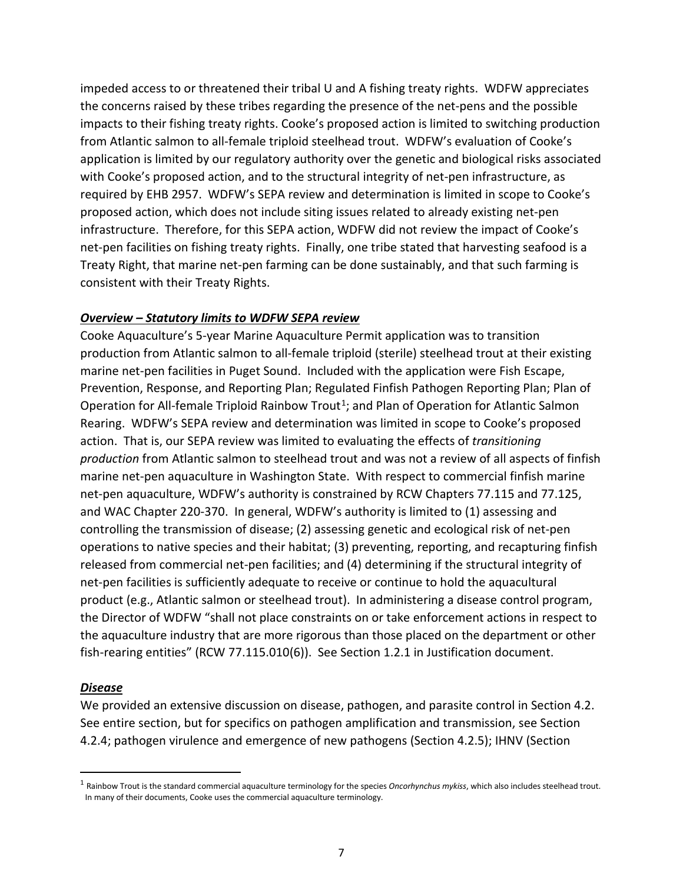impeded access to or threatened their tribal U and A fishing treaty rights. WDFW appreciates the concerns raised by these tribes regarding the presence of the net-pens and the possible impacts to their fishing treaty rights. Cooke's proposed action is limited to switching production from Atlantic salmon to all-female triploid steelhead trout. WDFW's evaluation of Cooke's application is limited by our regulatory authority over the genetic and biological risks associated with Cooke's proposed action, and to the structural integrity of net-pen infrastructure, as required by EHB 2957. WDFW's SEPA review and determination is limited in scope to Cooke's proposed action, which does not include siting issues related to already existing net-pen infrastructure. Therefore, for this SEPA action, WDFW did not review the impact of Cooke's net-pen facilities on fishing treaty rights. Finally, one tribe stated that harvesting seafood is a Treaty Right, that marine net-pen farming can be done sustainably, and that such farming is consistent with their Treaty Rights.

## *Overview – Statutory limits to WDFW SEPA review*

Cooke Aquaculture's 5-year Marine Aquaculture Permit application was to transition production from Atlantic salmon to all-female triploid (sterile) steelhead trout at their existing marine net-pen facilities in Puget Sound. Included with the application were Fish Escape, Prevention, Response, and Reporting Plan; Regulated Finfish Pathogen Reporting Plan; Plan of Operation for All-female Triploid Rainbow Trout<sup>[1](#page-6-0)</sup>; and Plan of Operation for Atlantic Salmon Rearing. WDFW's SEPA review and determination was limited in scope to Cooke's proposed action. That is, our SEPA review was limited to evaluating the effects of *transitioning production* from Atlantic salmon to steelhead trout and was not a review of all aspects of finfish marine net-pen aquaculture in Washington State. With respect to commercial finfish marine net-pen aquaculture, WDFW's authority is constrained by RCW Chapters 77.115 and 77.125, and WAC Chapter 220-370. In general, WDFW's authority is limited to (1) assessing and controlling the transmission of disease; (2) assessing genetic and ecological risk of net-pen operations to native species and their habitat; (3) preventing, reporting, and recapturing finfish released from commercial net-pen facilities; and (4) determining if the structural integrity of net-pen facilities is sufficiently adequate to receive or continue to hold the aquacultural product (e.g., Atlantic salmon or steelhead trout). In administering a disease control program, the Director of WDFW "shall not place constraints on or take enforcement actions in respect to the aquaculture industry that are more rigorous than those placed on the department or other fish-rearing entities" (RCW 77.115.010(6)). See Section 1.2.1 in Justification document.

## *Disease*

We provided an extensive discussion on disease, pathogen, and parasite control in Section 4.2. See entire section, but for specifics on pathogen amplification and transmission, see Section 4.2.4; pathogen virulence and emergence of new pathogens (Section 4.2.5); IHNV (Section

<span id="page-6-0"></span><sup>1</sup> Rainbow Trout is the standard commercial aquaculture terminology for the species *Oncorhynchus mykiss*, which also includes steelhead trout. In many of their documents, Cooke uses the commercial aquaculture terminology.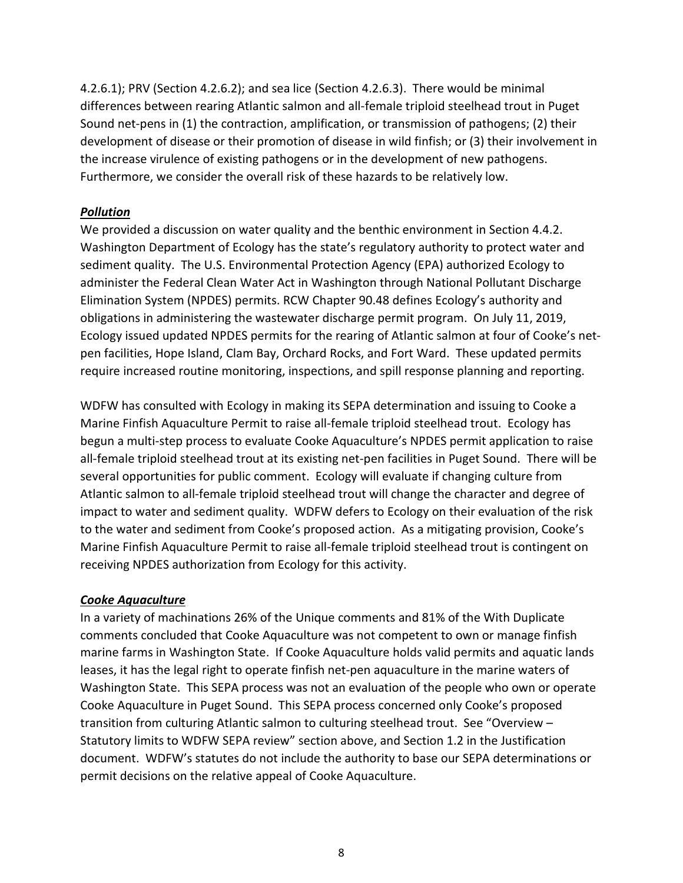4.2.6.1); PRV (Section 4.2.6.2); and sea lice (Section 4.2.6.3). There would be minimal differences between rearing Atlantic salmon and all-female triploid steelhead trout in Puget Sound net-pens in (1) the contraction, amplification, or transmission of pathogens; (2) their development of disease or their promotion of disease in wild finfish; or (3) their involvement in the increase virulence of existing pathogens or in the development of new pathogens. Furthermore, we consider the overall risk of these hazards to be relatively low.

## *Pollution*

We provided a discussion on water quality and the benthic environment in Section 4.4.2. Washington Department of Ecology has the state's regulatory authority to protect water and sediment quality. The U.S. Environmental Protection Agency (EPA) authorized Ecology to administer the Federal Clean Water Act in Washington through National Pollutant Discharge Elimination System (NPDES) permits. RCW Chapter 90.48 defines Ecology's authority and obligations in administering the wastewater discharge permit program. On July 11, 2019, Ecology issued updated NPDES permits for the rearing of Atlantic salmon at four of Cooke's netpen facilities, Hope Island, Clam Bay, Orchard Rocks, and Fort Ward. These updated permits require increased routine monitoring, inspections, and spill response planning and reporting.

WDFW has consulted with Ecology in making its SEPA determination and issuing to Cooke a Marine Finfish Aquaculture Permit to raise all-female triploid steelhead trout. Ecology has begun a multi-step process to evaluate Cooke Aquaculture's NPDES permit application to raise all-female triploid steelhead trout at its existing net-pen facilities in Puget Sound. There will be several opportunities for public comment. Ecology will evaluate if changing culture from Atlantic salmon to all-female triploid steelhead trout will change the character and degree of impact to water and sediment quality. WDFW defers to Ecology on their evaluation of the risk to the water and sediment from Cooke's proposed action. As a mitigating provision, Cooke's Marine Finfish Aquaculture Permit to raise all-female triploid steelhead trout is contingent on receiving NPDES authorization from Ecology for this activity.

#### *Cooke Aquaculture*

In a variety of machinations 26% of the Unique comments and 81% of the With Duplicate comments concluded that Cooke Aquaculture was not competent to own or manage finfish marine farms in Washington State. If Cooke Aquaculture holds valid permits and aquatic lands leases, it has the legal right to operate finfish net-pen aquaculture in the marine waters of Washington State. This SEPA process was not an evaluation of the people who own or operate Cooke Aquaculture in Puget Sound. This SEPA process concerned only Cooke's proposed transition from culturing Atlantic salmon to culturing steelhead trout. See "Overview – Statutory limits to WDFW SEPA review" section above, and Section 1.2 in the Justification document. WDFW's statutes do not include the authority to base our SEPA determinations or permit decisions on the relative appeal of Cooke Aquaculture.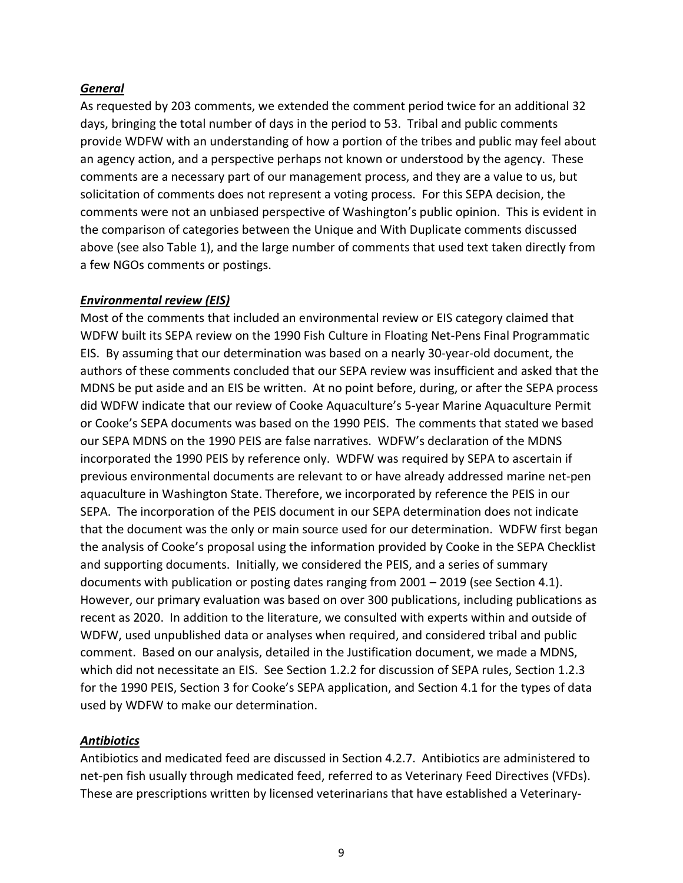#### *General*

As requested by 203 comments, we extended the comment period twice for an additional 32 days, bringing the total number of days in the period to 53. Tribal and public comments provide WDFW with an understanding of how a portion of the tribes and public may feel about an agency action, and a perspective perhaps not known or understood by the agency. These comments are a necessary part of our management process, and they are a value to us, but solicitation of comments does not represent a voting process. For this SEPA decision, the comments were not an unbiased perspective of Washington's public opinion. This is evident in the comparison of categories between the Unique and With Duplicate comments discussed above (see also Table 1), and the large number of comments that used text taken directly from a few NGOs comments or postings.

## *Environmental review (EIS)*

Most of the comments that included an environmental review or EIS category claimed that WDFW built its SEPA review on the 1990 Fish Culture in Floating Net-Pens Final Programmatic EIS. By assuming that our determination was based on a nearly 30-year-old document, the authors of these comments concluded that our SEPA review was insufficient and asked that the MDNS be put aside and an EIS be written. At no point before, during, or after the SEPA process did WDFW indicate that our review of Cooke Aquaculture's 5-year Marine Aquaculture Permit or Cooke's SEPA documents was based on the 1990 PEIS. The comments that stated we based our SEPA MDNS on the 1990 PEIS are false narratives. WDFW's declaration of the MDNS incorporated the 1990 PEIS by reference only. WDFW was required by SEPA to ascertain if previous environmental documents are relevant to or have already addressed marine net-pen aquaculture in Washington State. Therefore, we incorporated by reference the PEIS in our SEPA. The incorporation of the PEIS document in our SEPA determination does not indicate that the document was the only or main source used for our determination. WDFW first began the analysis of Cooke's proposal using the information provided by Cooke in the SEPA Checklist and supporting documents. Initially, we considered the PEIS, and a series of summary documents with publication or posting dates ranging from 2001 – 2019 (see Section 4.1). However, our primary evaluation was based on over 300 publications, including publications as recent as 2020. In addition to the literature, we consulted with experts within and outside of WDFW, used unpublished data or analyses when required, and considered tribal and public comment. Based on our analysis, detailed in the Justification document, we made a MDNS, which did not necessitate an EIS. See Section 1.2.2 for discussion of SEPA rules, Section 1.2.3 for the 1990 PEIS, Section 3 for Cooke's SEPA application, and Section 4.1 for the types of data used by WDFW to make our determination.

## *Antibiotics*

Antibiotics and medicated feed are discussed in Section 4.2.7. Antibiotics are administered to net-pen fish usually through medicated feed, referred to as Veterinary Feed Directives (VFDs). These are prescriptions written by licensed veterinarians that have established a Veterinary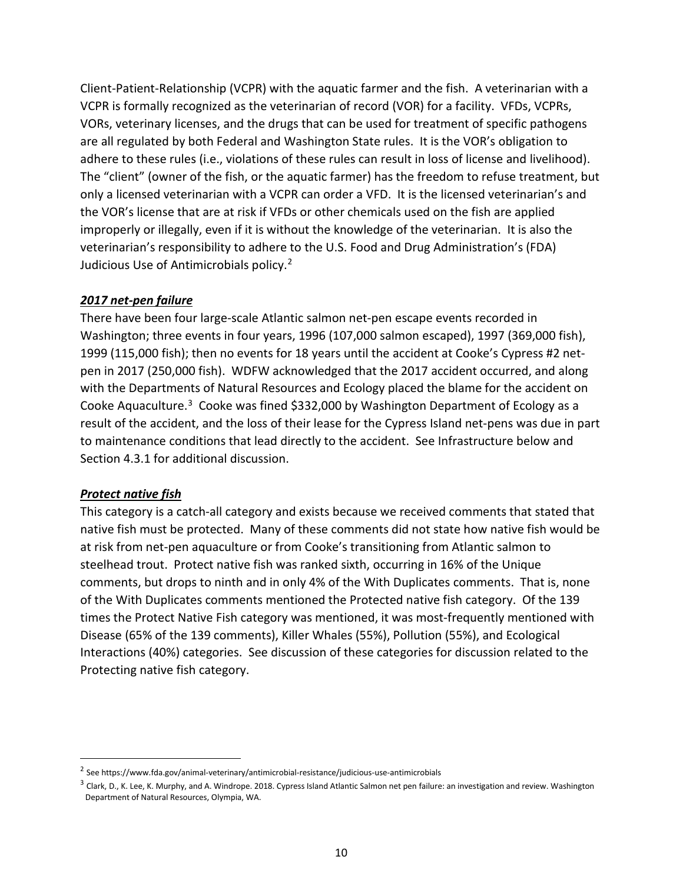Client-Patient-Relationship (VCPR) with the aquatic farmer and the fish. A veterinarian with a VCPR is formally recognized as the veterinarian of record (VOR) for a facility. VFDs, VCPRs, VORs, veterinary licenses, and the drugs that can be used for treatment of specific pathogens are all regulated by both Federal and Washington State rules. It is the VOR's obligation to adhere to these rules (i.e., violations of these rules can result in loss of license and livelihood). The "client" (owner of the fish, or the aquatic farmer) has the freedom to refuse treatment, but only a licensed veterinarian with a VCPR can order a VFD. It is the licensed veterinarian's and the VOR's license that are at risk if VFDs or other chemicals used on the fish are applied improperly or illegally, even if it is without the knowledge of the veterinarian. It is also the veterinarian's responsibility to adhere to the U.S. Food and Drug Administration's (FDA) Judicious Use of Antimicrobials policy.[2](#page-9-0)

#### *2017 net-pen failure*

There have been four large-scale Atlantic salmon net-pen escape events recorded in Washington; three events in four years, 1996 (107,000 salmon escaped), 1997 (369,000 fish), 1999 (115,000 fish); then no events for 18 years until the accident at Cooke's Cypress #2 netpen in 2017 (250,000 fish). WDFW acknowledged that the 2017 accident occurred, and along with the Departments of Natural Resources and Ecology placed the blame for the accident on Cooke Aquaculture.<sup>3</sup> Cooke was fined \$332,000 by Washington Department of Ecology as a result of the accident, and the loss of their lease for the Cypress Island net-pens was due in part to maintenance conditions that lead directly to the accident. See Infrastructure below and Section 4.3.1 for additional discussion.

#### *Protect native fish*

This category is a catch-all category and exists because we received comments that stated that native fish must be protected. Many of these comments did not state how native fish would be at risk from net-pen aquaculture or from Cooke's transitioning from Atlantic salmon to steelhead trout. Protect native fish was ranked sixth, occurring in 16% of the Unique comments, but drops to ninth and in only 4% of the With Duplicates comments. That is, none of the With Duplicates comments mentioned the Protected native fish category. Of the 139 times the Protect Native Fish category was mentioned, it was most-frequently mentioned with Disease (65% of the 139 comments), Killer Whales (55%), Pollution (55%), and Ecological Interactions (40%) categories. See discussion of these categories for discussion related to the Protecting native fish category.

<span id="page-9-0"></span><sup>2</sup> See https://www.fda.gov/animal-veterinary/antimicrobial-resistance/judicious-use-antimicrobials

<span id="page-9-1"></span><sup>&</sup>lt;sup>3</sup> Clark, D., K. Lee, K. Murphy, and A. Windrope. 2018. Cypress Island Atlantic Salmon net pen failure: an investigation and review. Washington Department of Natural Resources, Olympia, WA.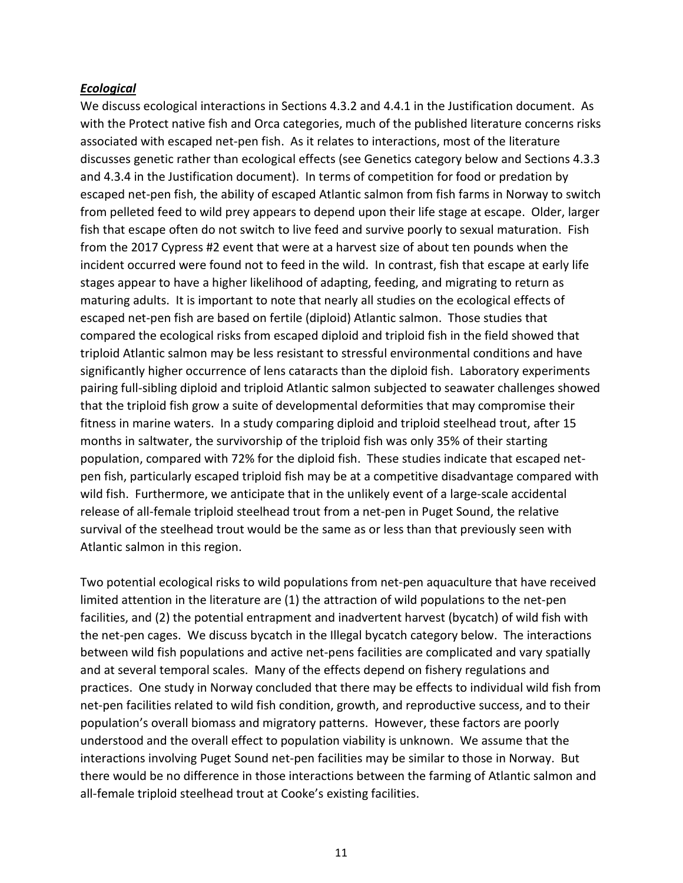#### *Ecological*

We discuss ecological interactions in Sections 4.3.2 and 4.4.1 in the Justification document. As with the Protect native fish and Orca categories, much of the published literature concerns risks associated with escaped net-pen fish. As it relates to interactions, most of the literature discusses genetic rather than ecological effects (see Genetics category below and Sections 4.3.3 and 4.3.4 in the Justification document). In terms of competition for food or predation by escaped net-pen fish, the ability of escaped Atlantic salmon from fish farms in Norway to switch from pelleted feed to wild prey appears to depend upon their life stage at escape. Older, larger fish that escape often do not switch to live feed and survive poorly to sexual maturation. Fish from the 2017 Cypress #2 event that were at a harvest size of about ten pounds when the incident occurred were found not to feed in the wild. In contrast, fish that escape at early life stages appear to have a higher likelihood of adapting, feeding, and migrating to return as maturing adults. It is important to note that nearly all studies on the ecological effects of escaped net-pen fish are based on fertile (diploid) Atlantic salmon. Those studies that compared the ecological risks from escaped diploid and triploid fish in the field showed that triploid Atlantic salmon may be less resistant to stressful environmental conditions and have significantly higher occurrence of lens cataracts than the diploid fish. Laboratory experiments pairing full-sibling diploid and triploid Atlantic salmon subjected to seawater challenges showed that the triploid fish grow a suite of developmental deformities that may compromise their fitness in marine waters. In a study comparing diploid and triploid steelhead trout, after 15 months in saltwater, the survivorship of the triploid fish was only 35% of their starting population, compared with 72% for the diploid fish. These studies indicate that escaped netpen fish, particularly escaped triploid fish may be at a competitive disadvantage compared with wild fish. Furthermore, we anticipate that in the unlikely event of a large-scale accidental release of all-female triploid steelhead trout from a net-pen in Puget Sound, the relative survival of the steelhead trout would be the same as or less than that previously seen with Atlantic salmon in this region.

Two potential ecological risks to wild populations from net-pen aquaculture that have received limited attention in the literature are (1) the attraction of wild populations to the net-pen facilities, and (2) the potential entrapment and inadvertent harvest (bycatch) of wild fish with the net-pen cages. We discuss bycatch in the Illegal bycatch category below. The interactions between wild fish populations and active net-pens facilities are complicated and vary spatially and at several temporal scales. Many of the effects depend on fishery regulations and practices. One study in Norway concluded that there may be effects to individual wild fish from net-pen facilities related to wild fish condition, growth, and reproductive success, and to their population's overall biomass and migratory patterns. However, these factors are poorly understood and the overall effect to population viability is unknown. We assume that the interactions involving Puget Sound net-pen facilities may be similar to those in Norway. But there would be no difference in those interactions between the farming of Atlantic salmon and all-female triploid steelhead trout at Cooke's existing facilities.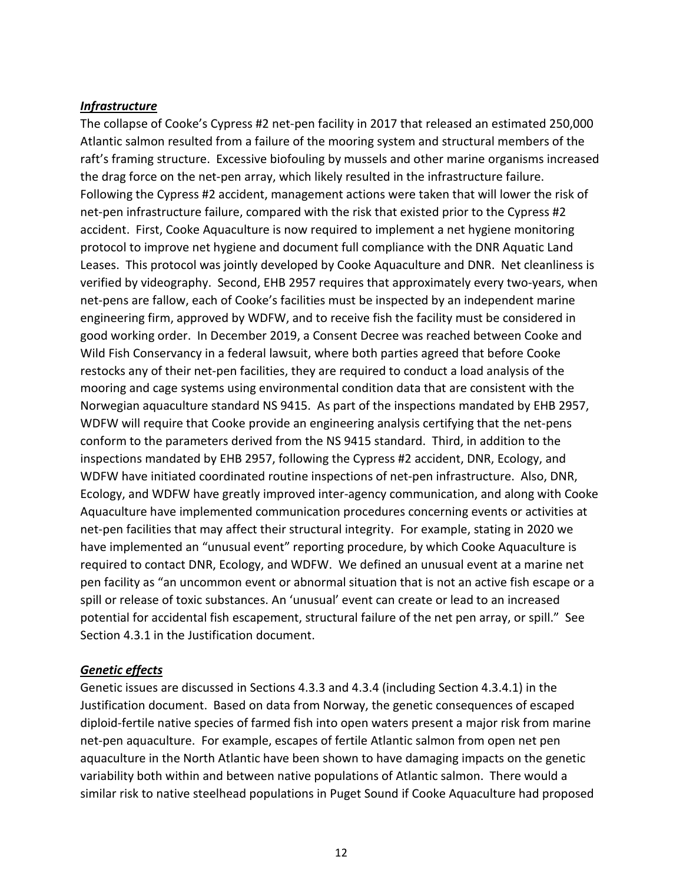## *Infrastructure*

The collapse of Cooke's Cypress #2 net-pen facility in 2017 that released an estimated 250,000 Atlantic salmon resulted from a failure of the mooring system and structural members of the raft's framing structure. Excessive biofouling by mussels and other marine organisms increased the drag force on the net-pen array, which likely resulted in the infrastructure failure. Following the Cypress #2 accident, management actions were taken that will lower the risk of net-pen infrastructure failure, compared with the risk that existed prior to the Cypress #2 accident. First, Cooke Aquaculture is now required to implement a net hygiene monitoring protocol to improve net hygiene and document full compliance with the DNR Aquatic Land Leases. This protocol was jointly developed by Cooke Aquaculture and DNR. Net cleanliness is verified by videography. Second, EHB 2957 requires that approximately every two-years, when net-pens are fallow, each of Cooke's facilities must be inspected by an independent marine engineering firm, approved by WDFW, and to receive fish the facility must be considered in good working order. In December 2019, a Consent Decree was reached between Cooke and Wild Fish Conservancy in a federal lawsuit, where both parties agreed that before Cooke restocks any of their net-pen facilities, they are required to conduct a load analysis of the mooring and cage systems using environmental condition data that are consistent with the Norwegian aquaculture standard NS 9415. As part of the inspections mandated by EHB 2957, WDFW will require that Cooke provide an engineering analysis certifying that the net-pens conform to the parameters derived from the NS 9415 standard. Third, in addition to the inspections mandated by EHB 2957, following the Cypress #2 accident, DNR, Ecology, and WDFW have initiated coordinated routine inspections of net-pen infrastructure. Also, DNR, Ecology, and WDFW have greatly improved inter-agency communication, and along with Cooke Aquaculture have implemented communication procedures concerning events or activities at net-pen facilities that may affect their structural integrity. For example, stating in 2020 we have implemented an "unusual event" reporting procedure, by which Cooke Aquaculture is required to contact DNR, Ecology, and WDFW. We defined an unusual event at a marine net pen facility as "an uncommon event or abnormal situation that is not an active fish escape or a spill or release of toxic substances. An 'unusual' event can create or lead to an increased potential for accidental fish escapement, structural failure of the net pen array, or spill." See Section 4.3.1 in the Justification document.

#### *Genetic effects*

Genetic issues are discussed in Sections 4.3.3 and 4.3.4 (including Section 4.3.4.1) in the Justification document. Based on data from Norway, the genetic consequences of escaped diploid-fertile native species of farmed fish into open waters present a major risk from marine net-pen aquaculture. For example, escapes of fertile Atlantic salmon from open net pen aquaculture in the North Atlantic have been shown to have damaging impacts on the genetic variability both within and between native populations of Atlantic salmon. There would a similar risk to native steelhead populations in Puget Sound if Cooke Aquaculture had proposed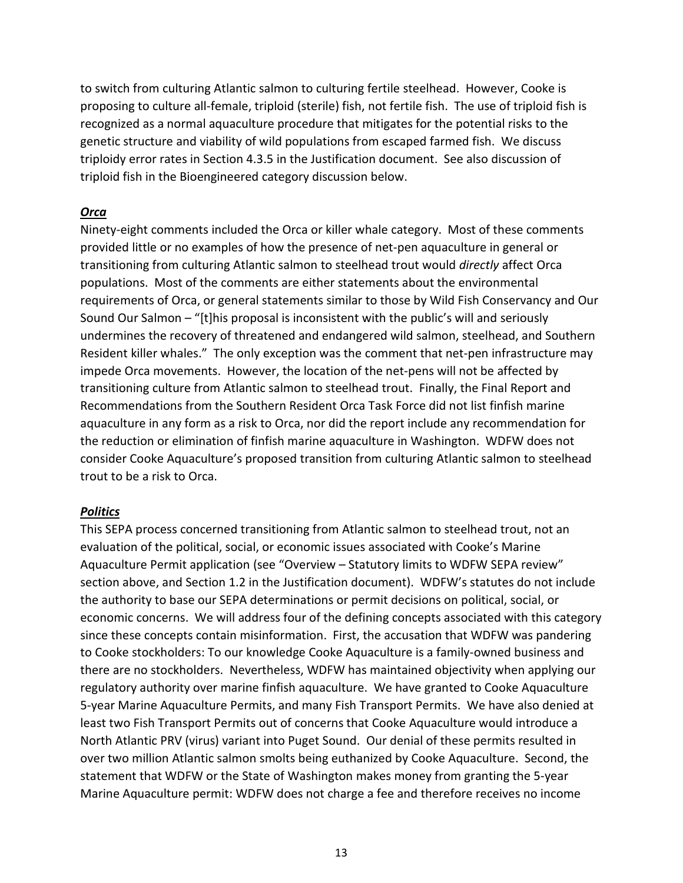to switch from culturing Atlantic salmon to culturing fertile steelhead. However, Cooke is proposing to culture all-female, triploid (sterile) fish, not fertile fish. The use of triploid fish is recognized as a normal aquaculture procedure that mitigates for the potential risks to the genetic structure and viability of wild populations from escaped farmed fish. We discuss triploidy error rates in Section 4.3.5 in the Justification document. See also discussion of triploid fish in the Bioengineered category discussion below.

#### *Orca*

Ninety-eight comments included the Orca or killer whale category. Most of these comments provided little or no examples of how the presence of net-pen aquaculture in general or transitioning from culturing Atlantic salmon to steelhead trout would *directly* affect Orca populations. Most of the comments are either statements about the environmental requirements of Orca, or general statements similar to those by Wild Fish Conservancy and Our Sound Our Salmon – "[t]his proposal is inconsistent with the public's will and seriously undermines the recovery of threatened and endangered wild salmon, steelhead, and Southern Resident killer whales." The only exception was the comment that net-pen infrastructure may impede Orca movements. However, the location of the net-pens will not be affected by transitioning culture from Atlantic salmon to steelhead trout. Finally, the Final Report and Recommendations from the Southern Resident Orca Task Force did not list finfish marine aquaculture in any form as a risk to Orca, nor did the report include any recommendation for the reduction or elimination of finfish marine aquaculture in Washington. WDFW does not consider Cooke Aquaculture's proposed transition from culturing Atlantic salmon to steelhead trout to be a risk to Orca.

#### *Politics*

This SEPA process concerned transitioning from Atlantic salmon to steelhead trout, not an evaluation of the political, social, or economic issues associated with Cooke's Marine Aquaculture Permit application (see "Overview – Statutory limits to WDFW SEPA review" section above, and Section 1.2 in the Justification document). WDFW's statutes do not include the authority to base our SEPA determinations or permit decisions on political, social, or economic concerns. We will address four of the defining concepts associated with this category since these concepts contain misinformation. First, the accusation that WDFW was pandering to Cooke stockholders: To our knowledge Cooke Aquaculture is a family-owned business and there are no stockholders. Nevertheless, WDFW has maintained objectivity when applying our regulatory authority over marine finfish aquaculture. We have granted to Cooke Aquaculture 5-year Marine Aquaculture Permits, and many Fish Transport Permits. We have also denied at least two Fish Transport Permits out of concerns that Cooke Aquaculture would introduce a North Atlantic PRV (virus) variant into Puget Sound. Our denial of these permits resulted in over two million Atlantic salmon smolts being euthanized by Cooke Aquaculture. Second, the statement that WDFW or the State of Washington makes money from granting the 5-year Marine Aquaculture permit: WDFW does not charge a fee and therefore receives no income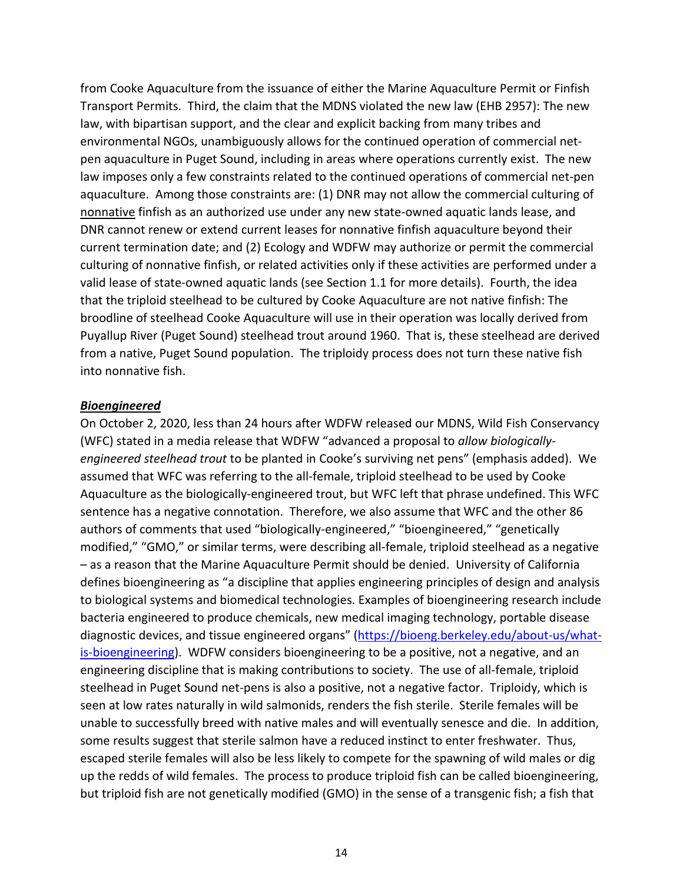from Cooke Aquaculture from the issuance of either the Marine Aquaculture Permit or Finfish Transport Permits. Third, the claim that the MDNS violated the new law (EHB 2957): The new law, with bipartisan support, and the clear and explicit backing from many tribes and environmental NGOs, unambiguously allows for the continued operation of commercial netpen aquaculture in Puget Sound, including in areas where operations currently exist. The new law imposes only a few constraints related to the continued operations of commercial net-pen aquaculture. Among those constraints are: (1) DNR may not allow the commercial culturing of nonnative finfish as an authorized use under any new state-owned aquatic lands lease, and DNR cannot renew or extend current leases for nonnative finfish aquaculture beyond their current termination date; and (2) Ecology and WDFW may authorize or permit the commercial culturing of nonnative finfish, or related activities only if these activities are performed under a valid lease of state-owned aquatic lands (see Section 1.1 for more details). Fourth, the idea that the triploid steelhead to be cultured by Cooke Aquaculture are not native finfish: The broodline of steelhead Cooke Aquaculture will use in their operation was locally derived from Puyallup River (Puget Sound) steelhead trout around 1960. That is, these steelhead are derived from a native, Puget Sound population. The triploidy process does not turn these native fish into nonnative fish.

#### *Bioengineered*

On October 2, 2020, less than 24 hours after WDFW released our MDNS, Wild Fish Conservancy (WFC) stated in a media release that WDFW "advanced a proposal to *allow biologicallyengineered steelhead trout* to be planted in Cooke's surviving net pens" (emphasis added). We assumed that WFC was referring to the all-female, triploid steelhead to be used by Cooke Aquaculture as the biologically-engineered trout, but WFC left that phrase undefined. This WFC sentence has a negative connotation. Therefore, we also assume that WFC and the other 86 authors of comments that used "biologically-engineered," "bioengineered," "genetically modified," "GMO," or similar terms, were describing all-female, triploid steelhead as a negative – as a reason that the Marine Aquaculture Permit should be denied. University of California defines bioengineering as "a discipline that applies engineering principles of design and analysis to biological systems and biomedical technologies. Examples of bioengineering research include bacteria engineered to produce chemicals, new medical imaging technology, portable disease diagnostic devices, and tissue engineered organs" [\(https://bioeng.berkeley.edu/about-us/what](https://bioeng.berkeley.edu/about-us/what-is-bioengineering)[is-bioengineering\)](https://bioeng.berkeley.edu/about-us/what-is-bioengineering). WDFW considers bioengineering to be a positive, not a negative, and an engineering discipline that is making contributions to society. The use of all-female, triploid steelhead in Puget Sound net-pens is also a positive, not a negative factor. Triploidy, which is seen at low rates naturally in wild salmonids, renders the fish sterile. Sterile females will be unable to successfully breed with native males and will eventually senesce and die. In addition, some results suggest that sterile salmon have a reduced instinct to enter freshwater. Thus, escaped sterile females will also be less likely to compete for the spawning of wild males or dig up the redds of wild females. The process to produce triploid fish can be called bioengineering, but triploid fish are not genetically modified (GMO) in the sense of a transgenic fish; a fish that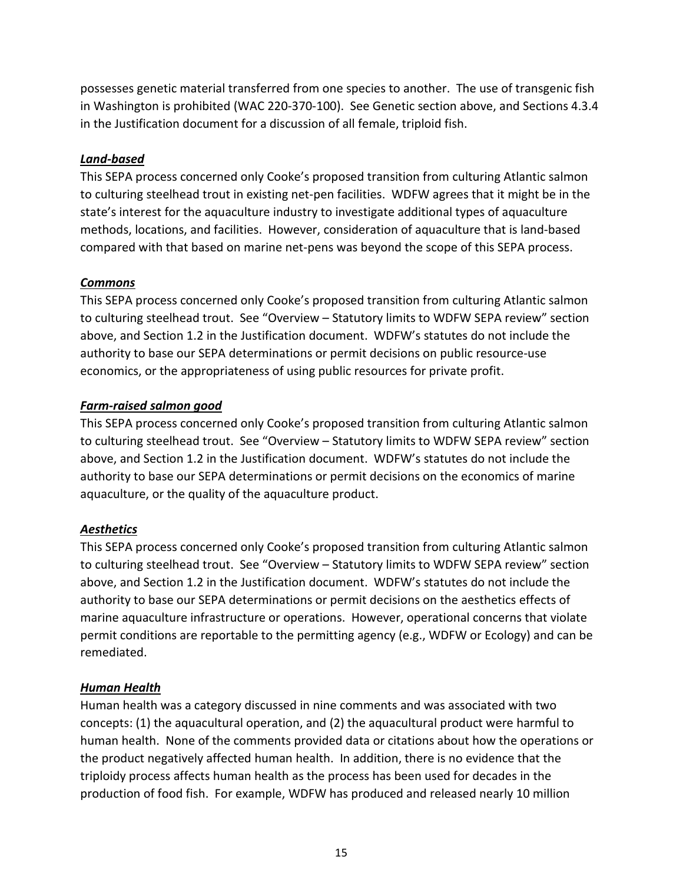possesses genetic material transferred from one species to another. The use of transgenic fish in Washington is prohibited (WAC 220-370-100). See Genetic section above, and Sections 4.3.4 in the Justification document for a discussion of all female, triploid fish.

## *Land-based*

This SEPA process concerned only Cooke's proposed transition from culturing Atlantic salmon to culturing steelhead trout in existing net-pen facilities. WDFW agrees that it might be in the state's interest for the aquaculture industry to investigate additional types of aquaculture methods, locations, and facilities. However, consideration of aquaculture that is land-based compared with that based on marine net-pens was beyond the scope of this SEPA process.

## *Commons*

This SEPA process concerned only Cooke's proposed transition from culturing Atlantic salmon to culturing steelhead trout. See "Overview – Statutory limits to WDFW SEPA review" section above, and Section 1.2 in the Justification document. WDFW's statutes do not include the authority to base our SEPA determinations or permit decisions on public resource-use economics, or the appropriateness of using public resources for private profit.

## *Farm-raised salmon good*

This SEPA process concerned only Cooke's proposed transition from culturing Atlantic salmon to culturing steelhead trout. See "Overview – Statutory limits to WDFW SEPA review" section above, and Section 1.2 in the Justification document. WDFW's statutes do not include the authority to base our SEPA determinations or permit decisions on the economics of marine aquaculture, or the quality of the aquaculture product.

# *Aesthetics*

This SEPA process concerned only Cooke's proposed transition from culturing Atlantic salmon to culturing steelhead trout. See "Overview – Statutory limits to WDFW SEPA review" section above, and Section 1.2 in the Justification document. WDFW's statutes do not include the authority to base our SEPA determinations or permit decisions on the aesthetics effects of marine aquaculture infrastructure or operations. However, operational concerns that violate permit conditions are reportable to the permitting agency (e.g., WDFW or Ecology) and can be remediated.

## *Human Health*

Human health was a category discussed in nine comments and was associated with two concepts: (1) the aquacultural operation, and (2) the aquacultural product were harmful to human health. None of the comments provided data or citations about how the operations or the product negatively affected human health. In addition, there is no evidence that the triploidy process affects human health as the process has been used for decades in the production of food fish. For example, WDFW has produced and released nearly 10 million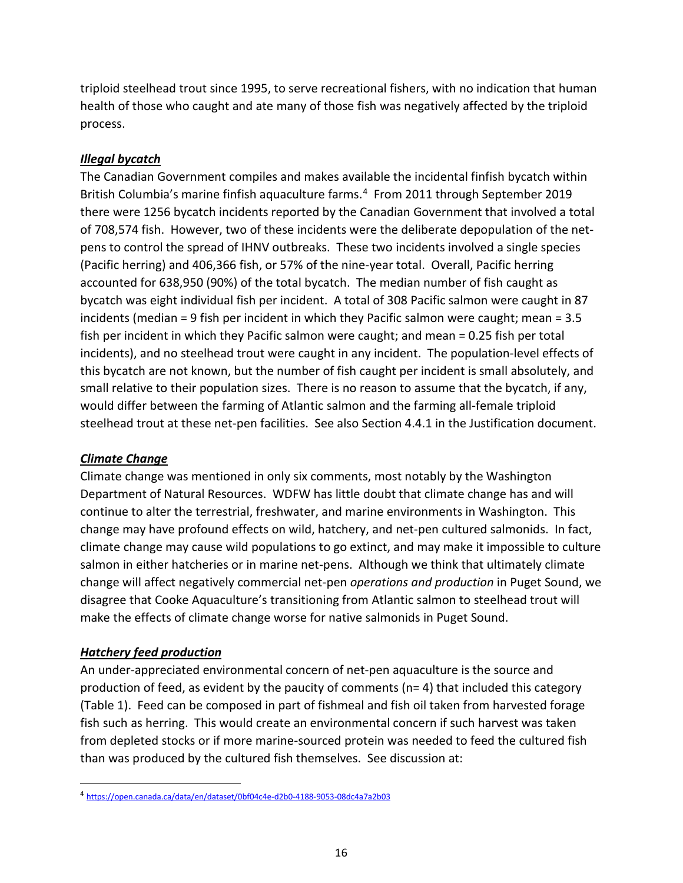triploid steelhead trout since 1995, to serve recreational fishers, with no indication that human health of those who caught and ate many of those fish was negatively affected by the triploid process.

## *Illegal bycatch*

The Canadian Government compiles and makes available the incidental finfish bycatch within British Columbia's marine finfish aquaculture farms. [4](#page-15-0) From 2011 through September 2019 there were 1256 bycatch incidents reported by the Canadian Government that involved a total of 708,574 fish. However, two of these incidents were the deliberate depopulation of the netpens to control the spread of IHNV outbreaks. These two incidents involved a single species (Pacific herring) and 406,366 fish, or 57% of the nine-year total. Overall, Pacific herring accounted for 638,950 (90%) of the total bycatch. The median number of fish caught as bycatch was eight individual fish per incident. A total of 308 Pacific salmon were caught in 87 incidents (median = 9 fish per incident in which they Pacific salmon were caught; mean = 3.5 fish per incident in which they Pacific salmon were caught; and mean = 0.25 fish per total incidents), and no steelhead trout were caught in any incident. The population-level effects of this bycatch are not known, but the number of fish caught per incident is small absolutely, and small relative to their population sizes. There is no reason to assume that the bycatch, if any, would differ between the farming of Atlantic salmon and the farming all-female triploid steelhead trout at these net-pen facilities. See also Section 4.4.1 in the Justification document.

## *Climate Change*

Climate change was mentioned in only six comments, most notably by the Washington Department of Natural Resources. WDFW has little doubt that climate change has and will continue to alter the terrestrial, freshwater, and marine environments in Washington. This change may have profound effects on wild, hatchery, and net-pen cultured salmonids. In fact, climate change may cause wild populations to go extinct, and may make it impossible to culture salmon in either hatcheries or in marine net-pens. Although we think that ultimately climate change will affect negatively commercial net-pen *operations and production* in Puget Sound, we disagree that Cooke Aquaculture's transitioning from Atlantic salmon to steelhead trout will make the effects of climate change worse for native salmonids in Puget Sound.

# *Hatchery feed production*

An under-appreciated environmental concern of net-pen aquaculture is the source and production of feed, as evident by the paucity of comments (n= 4) that included this category (Table 1). Feed can be composed in part of fishmeal and fish oil taken from harvested forage fish such as herring. This would create an environmental concern if such harvest was taken from depleted stocks or if more marine-sourced protein was needed to feed the cultured fish than was produced by the cultured fish themselves. See discussion at:

<span id="page-15-0"></span><sup>4</sup> <https://open.canada.ca/data/en/dataset/0bf04c4e-d2b0-4188-9053-08dc4a7a2b03>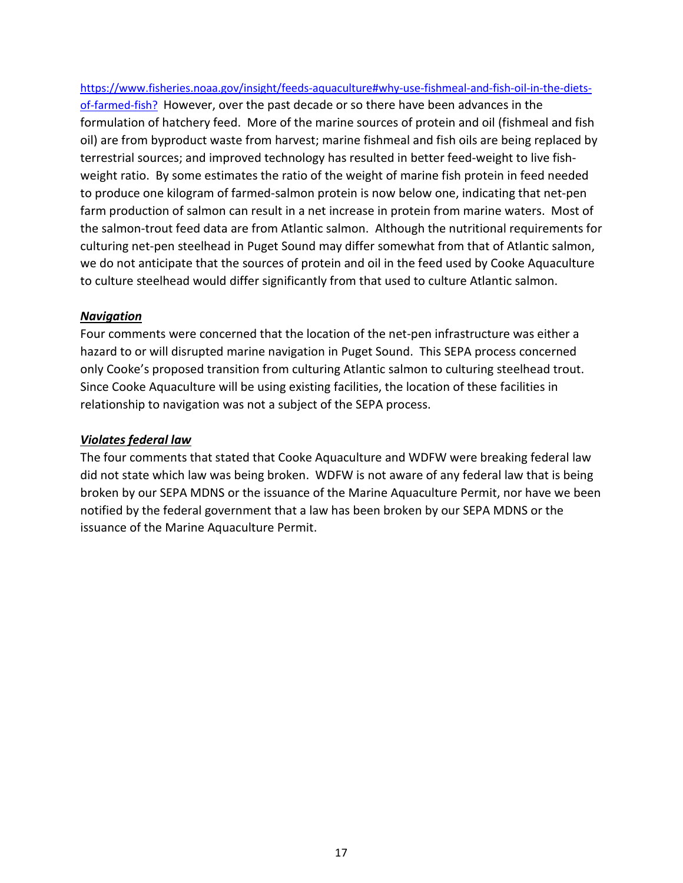## [https://www.fisheries.noaa.gov/insight/feeds-aquaculture#why-use-fishmeal-and-fish-oil-in-the-diets-](https://www.fisheries.noaa.gov/insight/feeds-aquaculture#why-use-fishmeal-and-fish-oil-in-the-diets-of-farmed-fish?)

[of-farmed-fish?](https://www.fisheries.noaa.gov/insight/feeds-aquaculture#why-use-fishmeal-and-fish-oil-in-the-diets-of-farmed-fish?) However, over the past decade or so there have been advances in the formulation of hatchery feed. More of the marine sources of protein and oil (fishmeal and fish oil) are from byproduct waste from harvest; marine fishmeal and fish oils are being replaced by terrestrial sources; and improved technology has resulted in better feed-weight to live fishweight ratio. By some estimates the ratio of the weight of marine fish protein in feed needed to produce one kilogram of farmed-salmon protein is now below one, indicating that net-pen farm production of salmon can result in a net increase in protein from marine waters. Most of the salmon-trout feed data are from Atlantic salmon. Although the nutritional requirements for culturing net-pen steelhead in Puget Sound may differ somewhat from that of Atlantic salmon, we do not anticipate that the sources of protein and oil in the feed used by Cooke Aquaculture to culture steelhead would differ significantly from that used to culture Atlantic salmon.

## *Navigation*

Four comments were concerned that the location of the net-pen infrastructure was either a hazard to or will disrupted marine navigation in Puget Sound. This SEPA process concerned only Cooke's proposed transition from culturing Atlantic salmon to culturing steelhead trout. Since Cooke Aquaculture will be using existing facilities, the location of these facilities in relationship to navigation was not a subject of the SEPA process.

## *Violates federal law*

The four comments that stated that Cooke Aquaculture and WDFW were breaking federal law did not state which law was being broken. WDFW is not aware of any federal law that is being broken by our SEPA MDNS or the issuance of the Marine Aquaculture Permit, nor have we been notified by the federal government that a law has been broken by our SEPA MDNS or the issuance of the Marine Aquaculture Permit.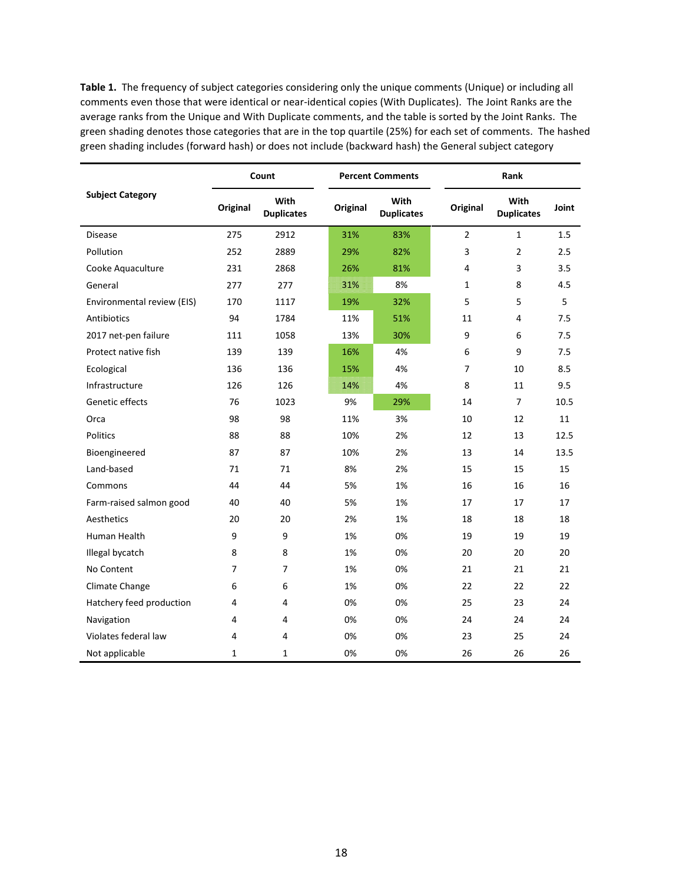**Table 1.** The frequency of subject categories considering only the unique comments (Unique) or including all comments even those that were identical or near-identical copies (With Duplicates). The Joint Ranks are the average ranks from the Unique and With Duplicate comments, and the table is sorted by the Joint Ranks. The green shading denotes those categories that are in the top quartile (25%) for each set of comments. The hashed green shading includes (forward hash) or does not include (backward hash) the General subject category

| <b>Subject Category</b>    | Count    |                           | <b>Percent Comments</b> |                           | Rank           |                           |       |
|----------------------------|----------|---------------------------|-------------------------|---------------------------|----------------|---------------------------|-------|
|                            | Original | With<br><b>Duplicates</b> | Original                | With<br><b>Duplicates</b> | Original       | With<br><b>Duplicates</b> | Joint |
| <b>Disease</b>             | 275      | 2912                      | 31%                     | 83%                       | $\overline{2}$ | $\mathbf{1}$              | 1.5   |
| Pollution                  | 252      | 2889                      | 29%                     | 82%                       | 3              | $\overline{2}$            | 2.5   |
| Cooke Aquaculture          | 231      | 2868                      | 26%                     | 81%                       | 4              | 3                         | 3.5   |
| General                    | 277      | 277                       | 31%                     | 8%                        | $\mathbf{1}$   | 8                         | 4.5   |
| Environmental review (EIS) | 170      | 1117                      | 19%                     | 32%                       | 5              | 5                         | 5     |
| Antibiotics                | 94       | 1784                      | 11%                     | 51%                       | 11             | 4                         | 7.5   |
| 2017 net-pen failure       | 111      | 1058                      | 13%                     | 30%                       | 9              | 6                         | 7.5   |
| Protect native fish        | 139      | 139                       | 16%                     | 4%                        | 6              | 9                         | 7.5   |
| Ecological                 | 136      | 136                       | 15%                     | 4%                        | $\overline{7}$ | 10                        | 8.5   |
| Infrastructure             | 126      | 126                       | 14%                     | 4%                        | 8              | 11                        | 9.5   |
| Genetic effects            | 76       | 1023                      | 9%                      | 29%                       | 14             | $\overline{7}$            | 10.5  |
| Orca                       | 98       | 98                        | 11%                     | 3%                        | 10             | 12                        | 11    |
| <b>Politics</b>            | 88       | 88                        | 10%                     | 2%                        | 12             | 13                        | 12.5  |
| Bioengineered              | 87       | 87                        | 10%                     | 2%                        | 13             | 14                        | 13.5  |
| Land-based                 | 71       | 71                        | 8%                      | 2%                        | 15             | 15                        | 15    |
| Commons                    | 44       | 44                        | 5%                      | 1%                        | 16             | 16                        | 16    |
| Farm-raised salmon good    | 40       | 40                        | 5%                      | 1%                        | 17             | 17                        | 17    |
| Aesthetics                 | 20       | 20                        | 2%                      | 1%                        | 18             | 18                        | 18    |
| Human Health               | 9        | 9                         | 1%                      | 0%                        | 19             | 19                        | 19    |
| Illegal bycatch            | 8        | 8                         | 1%                      | 0%                        | 20             | 20                        | 20    |
| No Content                 | 7        | 7                         | 1%                      | 0%                        | 21             | 21                        | 21    |
| Climate Change             | 6        | 6                         | 1%                      | 0%                        | 22             | 22                        | 22    |
| Hatchery feed production   | 4        | 4                         | 0%                      | 0%                        | 25             | 23                        | 24    |
| Navigation                 | 4        | 4                         | 0%                      | 0%                        | 24             | 24                        | 24    |
| Violates federal law       | 4        | 4                         | 0%                      | 0%                        | 23             | 25                        | 24    |
| Not applicable             | 1        | 1                         | 0%                      | 0%                        | 26             | 26                        | 26    |